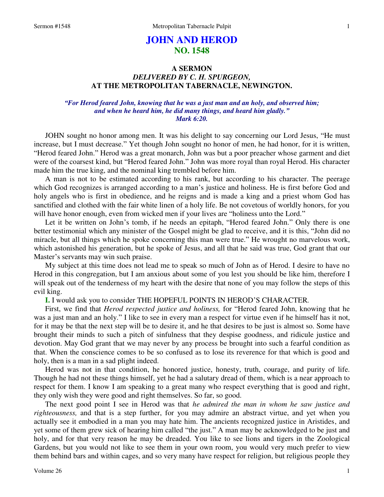# **JOHN AND HEROD NO. 1548**

## **A SERMON**  *DELIVERED BY C. H. SPURGEON,*  **AT THE METROPOLITAN TABERNACLE, NEWINGTON.**

### *"For Herod feared John, knowing that he was a just man and an holy, and observed him; and when he heard him, he did many things, and heard him gladly." Mark 6:20.*

 JOHN sought no honor among men. It was his delight to say concerning our Lord Jesus, "He must increase, but I must decrease." Yet though John sought no honor of men, he had honor, for it is written, "Herod feared John." Herod was a great monarch, John was but a poor preacher whose garment and diet were of the coarsest kind, but "Herod feared John." John was more royal than royal Herod. His character made him the true king, and the nominal king trembled before him.

 A man is not to be estimated according to his rank, but according to his character. The peerage which God recognizes is arranged according to a man's justice and holiness. He is first before God and holy angels who is first in obedience, and he reigns and is made a king and a priest whom God has sanctified and clothed with the fair white linen of a holy life. Be not covetous of worldly honors, for you will have honor enough, even from wicked men if your lives are "holiness unto the Lord."

 Let it be written on John's tomb, if he needs an epitaph, "Herod feared John." Only there is one better testimonial which any minister of the Gospel might be glad to receive, and it is this, "John did no miracle, but all things which he spoke concerning this man were true." He wrought no marvelous work, which astonished his generation, but he spoke of Jesus, and all that he said was true, God grant that our Master's servants may win such praise.

 My subject at this time does not lead me to speak so much of John as of Herod. I desire to have no Herod in this congregation, but I am anxious about some of you lest you should be like him, therefore I will speak out of the tenderness of my heart with the desire that none of you may follow the steps of this evil king.

**I.** I would ask you to consider THE HOPEFUL POINTS IN HEROD'S CHARACTER*.* 

First, we find that *Herod respected justice and holiness,* for "Herod feared John, knowing that he was a just man and an holy." I like to see in every man a respect for virtue even if he himself has it not, for it may be that the next step will be to desire it, and he that desires to be just is almost so. Some have brought their minds to such a pitch of sinfulness that they despise goodness, and ridicule justice and devotion. May God grant that we may never by any process be brought into such a fearful condition as that. When the conscience comes to be so confused as to lose its reverence for that which is good and holy, then is a man in a sad plight indeed.

Herod was not in that condition, he honored justice, honesty, truth, courage, and purity of life. Though he had not these things himself, yet he had a salutary dread of them, which is a near approach to respect for them. I know I am speaking to a great many who respect everything that is good and right, they only wish they were good and right themselves. So far, so good.

 The next good point I see in Herod was that *he admired the man in whom he saw justice and righteousness,* and that is a step further, for you may admire an abstract virtue, and yet when you actually see it embodied in a man you may hate him. The ancients recognized justice in Aristides, and yet some of them grew sick of hearing him called "the just." A man may be acknowledged to be just and holy, and for that very reason he may be dreaded. You like to see lions and tigers in the Zoological Gardens, but you would not like to see them in your own room, you would very much prefer to view them behind bars and within cages, and so very many have respect for religion, but religious people they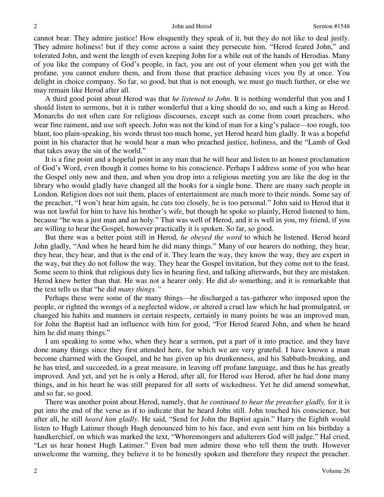cannot bear. They admire justice! How eloquently they speak of it, but they do not like to deal justly. They admire holiness! but if they come across a saint they persecute him. "Herod feared John," and tolerated John, and went the length of even keeping John for a while out of the hands of Herodias. Many of you like the company of God's people, in fact, you are out of your element when you get with the profane, you cannot endure them, and from those that practice debasing vices you fly at once. You delight in choice company. So far, so good, but that is not enough, we must go much further, or else we may remain like Herod after all.

 A third good point about Herod was that *he listened to John*. It is nothing wonderful that you and I should listen to sermons, but it is rather wonderful that a king should do so, and such a king as Herod. Monarchs do not often care for religious discourses, except such as come from court preachers, who wear fine raiment, and use soft speech. John was not the kind of man for a king's palace—too rough, too blunt, too plain-speaking, his words thrust too much home, yet Herod heard him gladly. It was a hopeful point in his character that he would hear a man who preached justice, holiness, and the "Lamb of God that takes away the sin of the world."

 It is a fine point and a hopeful point in any man that he will hear and listen to an honest proclamation of God's Word, even though it comes home to his conscience. Perhaps I address some of you who hear the Gospel only now and then, and when you drop into a religious meeting you are like the dog in the library who would gladly have changed all the books for a single bone. There are many such people in London. Religion does not suit them, places of entertainment are much more to their minds. Some say of the preacher, "I won't hear him again, he cuts too closely, he is too personal." John said to Herod that it was not lawful for him to have his brother's wife, but though he spoke so plainly, Herod listened to him, because "he was a just man and an holy." That was well of Herod, and it is well in you, my friend, if you are willing to hear the Gospel, however practically it is spoken. So far, so good.

 But there was a better point still in Herod, *he obeyed the word* to which he listened. Herod heard John gladly, "And when he heard him he did many things." Many of our hearers do nothing, they hear, they hear, they hear, and that is the end of it. They learn the way, they know the way, they are expert in the way, but they do not follow the way. They hear the Gospel invitation, but they come not to the feast. Some seem to think that religious duty lies in hearing first, and talking afterwards, but they are mistaken. Herod knew better than that. He was not a hearer only. He did *do* something, and it is remarkable that the text tells us that "he did *many things."*

 Perhaps these were some of the many things—he discharged a tax-gatherer who imposed upon the people, or righted the wrongs of a neglected widow, or altered a cruel law which he had promulgated, or changed his habits and manners in certain respects, certainly in many points he was an improved man, for John the Baptist had an influence with him for good, "For Herod feared John, and when he heard him he did many things."

 I am speaking to some who, when they hear a sermon, put a part of it into practice, and they have done many things since they first attended here, for which we are very grateful. I have known a man become charmed with the Gospel, and he has given up his drunkenness, and his Sabbath-breaking, and he has tried, and succeeded, in a great measure, in leaving off profane language, and thus he has greatly improved. And yet, and yet he is only a Herod, after all, for Herod *was* Herod, after he had done many things, and in his heart he was still prepared for all sorts of wickedness. Yet he did amend somewhat, and so far, so good.

 There was another point about Herod, namely, that *he continued to hear the preacher gladly,* for it is put into the end of the verse as if to indicate that he heard John still. John touched his conscience, but after all, he still *heard him gladly*. He said, "Send for John the Baptist again." Harry the Eighth would listen to Hugh Latimer though Hugh denounced him to his face, and even sent him on his birthday a handkerchief, on which was marked the text, "Whoremongers and adulterers God will judge." Hal cried, "Let us hear honest Hugh Latimer." Even bad men admire those who tell them the truth. However unwelcome the warning, they believe it to be honestly spoken and therefore they respect the preacher.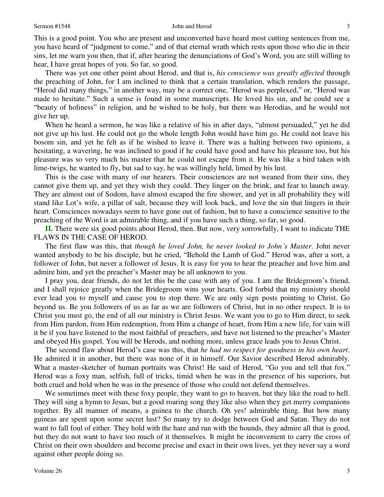### Sermon #1548 3

This is a good point. You who are present and unconverted have heard most cutting sentences from me, you have heard of "judgment to come," and of that eternal wrath which rests upon those who die in their sins, let me warn you then, that if, after hearing the denunciations of God's Word, you are still willing to hear, I have great hopes of you. So far, so good.

 There was yet one other point about Herod, and that is, *his conscience was greatly affected* through the preaching of John, for I am inclined to think that a certain translation, which renders the passage, "Herod did many things," in another way, may be a correct one, 'Herod was perplexed," or, "Herod was made to hesitate." Such a sense is found in some manuscripts. He loved his sin, and he could see a "beauty of holiness" in religion, and he wished to be holy, but there was Herodias, and he would not give her up.

 When he heard a sermon, he was like a relative of his in after days, "almost persuaded," yet he did not give up his lust. He could not go the whole length John would have him go. He could not leave his bosom sin, and yet he felt as if he wished to leave it. There was a halting between two opinions, a hesitating, a wavering, he was inclined to good if he could have good and have his pleasure too, but his pleasure was so very much his master that he could not escape from it. He was like a bird taken with lime-twigs, he wanted to fly, but sad to say, he was willingly held, limed by his lust.

 This is the case with many of our hearers. Their consciences are not weaned from their sins, they cannot give them up, and yet they wish they could. They linger on the brink, and fear to launch away. They are almost out of Sodom, have almost escaped the fire shower, and yet in all probability they will stand like Lot's wife, a pillar of salt, because they will look back, and love the sin that lingers in their heart. Consciences nowadays seem to have gone out of fashion, but to have a conscience sensitive to the preaching of the Word is an admirable thing, and if you have such a thing, so far, so good.

 **II.** There were six good points about Herod, then. But now, very sorrowfully, I want to indicate THE FLAWS IN THE CASE OF HEROD.

 The first flaw was this, that *though he loved John, he never looked to John's Master*. John never wanted anybody to be his disciple, but he cried, "Behold the Lamb of God." Herod was, after a sort, a follower of John, but never a follower of Jesus. It is easy for you to hear the preacher and love him and admire him, and yet the preacher's Master may be all unknown to you.

 I pray you, dear friends, do not let this be the case with any of you. I am the Bridegroom's friend, and I shall rejoice greatly when the Bridegroom wins your hearts. God forbid that my ministry should ever lead you to myself and cause you to stop there. We are only sign posts pointing to Christ. Go beyond us. Be you followers of us as far as we are followers of Christ, but in no other respect. It is to Christ you must go, the end of all our ministry is Christ Jesus. We want you to go to Him direct, to seek from Him pardon, from Him redemption, from Him a change of heart, from Him a new life, for vain will it be if you have listened to the most faithful of preachers, and have not listened to the preacher's Master and obeyed His gospel. You will be Herods, and nothing more, unless grace leads you to Jesus Christ.

 The second flaw about Herod's case was this, that *he had no respect for goodness in his own heart*. He admired it in another, but there was none of it in himself. Our Savior described Herod admirably. What a master-sketcher of human portraits was Christ! He said of Herod, "Go you and tell that fox." Herod was a foxy man, selfish, full of tricks, timid when he was in the presence of his superiors, but both cruel and bold when he was in the presence of those who could not defend themselves.

 We sometimes meet with these foxy people, they want to go to heaven, but they like the road to hell. They will sing a hymn to Jesus, but a good roaring song they like also when they get merry companions together. By all manner of means, a guinea to the church. Oh yes! admirable thing. But how many guineas are spent upon some secret lust? So many try to dodge between God and Satan. They do not want to fall foul of either. They hold with the hare and run with the hounds, they admire all that is good, but they do not want to have too much of it themselves. It might be inconvenient to carry the cross of Christ on their own shoulders and become precise and exact in their own lives, yet they never say a word against other people doing so.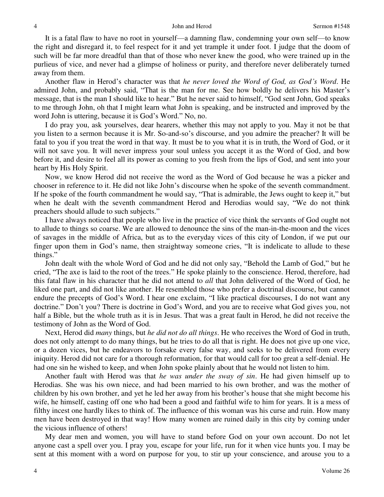It is a fatal flaw to have no root in yourself—a damning flaw, condemning your own self—to know the right and disregard it, to feel respect for it and yet trample it under foot. I judge that the doom of such will be far more dreadful than that of those who never knew the good, who were trained up in the purlieus of vice, and never had a glimpse of holiness or purity, and therefore never deliberately turned away from them.

 Another flaw in Herod's character was that *he never loved the Word of God, as God's Word*. He admired John, and probably said, "That is the man for me. See how boldly he delivers his Master's message, that is the man I should like to hear." But he never said to himself, "God sent John, God speaks to me through John, oh that I might learn what John is speaking, and be instructed and improved by the word John is uttering, because it is God's Word." No, no.

 I do pray you, ask yourselves, dear hearers, whether this may not apply to you. May it not be that you listen to a sermon because it is Mr. So-and-so's discourse, and you admire the preacher? It will be fatal to you if you treat the word in that way. It must be to you what it is in truth, the Word of God, or it will not save you. It will never impress your soul unless you accept it as the Word of God, and bow before it, and desire to feel all its power as coming to you fresh from the lips of God, and sent into your heart by His Holy Spirit.

 Now, we know Herod did not receive the word as the Word of God because he was a picker and chooser in reference to it. He did not like John's discourse when he spoke of the seventh commandment. If he spoke of the fourth commandment he would say, "That is admirable, the Jews ought to keep it," but when he dealt with the seventh commandment Herod and Herodias would say, "We do not think preachers should allude to such subjects."

 I have always noticed that people who live in the practice of vice think the servants of God ought not to allude to things so coarse. We are allowed to denounce the sins of the man-in-the-moon and the vices of savages in the middle of Africa, but as to the everyday vices of this city of London, if we put our finger upon them in God's name, then straightway someone cries, "It is indelicate to allude to these things."

 John dealt with the whole Word of God and he did not only say, "Behold the Lamb of God," but he cried, "The axe is laid to the root of the trees." He spoke plainly to the conscience. Herod, therefore, had this fatal flaw in his character that he did not attend to *all* that John delivered of the Word of God, he liked one part, and did not like another. He resembled those who prefer a doctrinal discourse, but cannot endure the precepts of God's Word. I hear one exclaim, "I like practical discourses, I do not want any doctrine." Don't you? There is doctrine in God's Word, and you are to receive what God gives you, not half a Bible, but the whole truth as it is in Jesus. That was a great fault in Herod, he did not receive the testimony of John as the Word of God.

 Next, Herod did *many* things, but *he did not do all things*. He who receives the Word of God in truth, does not only attempt to do many things, but he tries to do all that is right. He does not give up one vice, or a dozen vices, but he endeavors to forsake every false way, and seeks to be delivered from every iniquity. Herod did not care for a thorough reformation, for that would call for too great a self-denial. He had one sin he wished to keep, and when John spoke plainly about that he would not listen to him.

 Another fault with Herod was that *he was under the sway of sin*. He had given himself up to Herodias. She was his own niece, and had been married to his own brother, and was the mother of children by his own brother, and yet he led her away from his brother's house that she might become his wife, he himself, casting off one who had been a good and faithful wife to him for years. It is a mess of filthy incest one hardly likes to think of. The influence of this woman was his curse and ruin. How many men have been destroyed in that way! How many women are ruined daily in this city by coming under the vicious influence of others!

 My dear men and women, you will have to stand before God on your own account. Do not let anyone cast a spell over you. I pray you, escape for your life, run for it when vice hunts you. I may be sent at this moment with a word on purpose for you, to stir up your conscience, and arouse you to a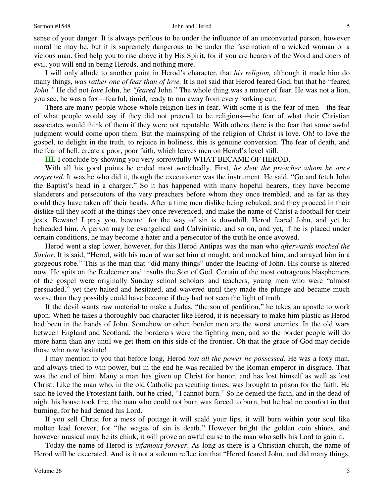### Sermon #1548 5

sense of your danger. It is always perilous to be under the influence of an unconverted person, however moral he may be, but it is supremely dangerous to be under the fascination of a wicked woman or a vicious man. God help you to rise above it by His Spirit, for if you are hearers of the Word and doers of evil, you will end in being Herods, and nothing more.

 I will only allude to another point in Herod's character, that *his religion,* although it made him do many things, *was rather one of fear than of love.* It is not said that Herod feared God, but that he "feared *John."* He did not *love* John, he *"feared* John." The whole thing was a matter of fear. He was not a lion, you see, he was a fox—fearful, timid, ready to run away from every barking cur.

 There are many people whose whole religion lies in fear. With some it is the fear of men—the fear of what people would say if they did not pretend to be religious—the fear of what their Christian associates would think of them if they were not reputable. With others there is the fear that some awful judgment would come upon them. But the mainspring of the religion of Christ is love. Oh! to love the gospel, to delight in the truth, to rejoice in holiness, this is genuine conversion. The fear of death, and the fear of hell, create a poor, poor faith, which leaves men on Herod's level still.

**III.** I conclude by showing you very sorrowfully WHAT BECAME OF HEROD.

 With all his good points he ended most wretchedly. First, *he slew the preacher whom he once respected*. It was he who did it, though the executioner was the instrument. He said, "Go and fetch John the Baptist's head in a charger." So it has happened with many hopeful hearers, they have become slanderers and persecutors of the very preachers before whom they once trembled, and as far as they could they have taken off their heads. After a time men dislike being rebuked, and they proceed in their dislike till they scoff at the things they once reverenced, and make the name of Christ a football for their jests. Beware! I pray you, beware! for the way of sin is downhill. Herod feared John, and yet he beheaded him. A person may be evangelical and Calvinistic, and so on, and yet, if he is placed under certain conditions, he may become a hater and a persecutor of the truth he once avowed.

 Herod went a step lower, however, for this Herod Antipas was the man who *afterwards mocked the Savior*. It is said, "Herod, with his men of war set him at nought, and mocked him, and arrayed him in a gorgeous robe." This is the man that "did many things" under the leading of John. His course is altered now. He spits on the Redeemer and insults the Son of God. Certain of the most outrageous blasphemers of the gospel were originally Sunday school scholars and teachers, young men who were "almost persuaded," yet they halted and hesitated, and wavered until they made the plunge and became much worse than they possibly could have become if they had not seen the light of truth.

 If the devil wants raw material to make a Judas, "the son of perdition," he takes an apostle to work upon. When he takes a thoroughly bad character like Herod, it is necessary to make him plastic as Herod had been in the hands of John. Somehow or other, border men are the worst enemies. In the old wars between England and Scotland, the borderers were the fighting men, and so the border people will do more harm than any until we get them on this side of the frontier. Oh that the grace of God may decide those who now hesitate!

 I may mention to you that before long, Herod *lost all the power he possessed*. He was a foxy man, and always tried to win power, but in the end he was recalled by the Roman emperor in disgrace. That was the end of him. Many a man has given up Christ for honor, and has lost himself as well as lost Christ. Like the man who, in the old Catholic persecuting times, was brought to prison for the faith. He said he loved the Protestant faith, but he cried, "I cannot burn." So he denied the faith, and in the dead of night his house took fire, the man who could not burn was forced to burn, but he had no comfort in that burning, for he had denied his Lord.

 If you sell Christ for a mess of pottage it will scald your lips, it will burn within your soul like molten lead forever, for "the wages of sin is death." However bright the golden coin shines, and however musical may be its chink, it will prove an awful curse to the man who sells his Lord to gain it.

 Today the name of Herod is *infamous forever*. As long as there is a Christian church, the name of Herod will be execrated. And is it not a solemn reflection that "Herod feared John, and did many things,